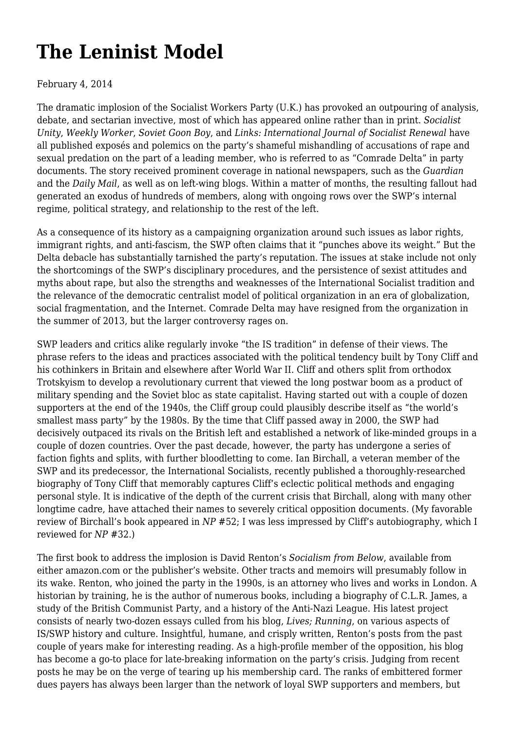## **[The Leninist Model](https://newpol.org/review/leninist-model/)**

## February 4, 2014

The dramatic implosion of the Socialist Workers Party (U.K.) has provoked an outpouring of analysis, debate, and sectarian invective, most of which has appeared online rather than in print. *Socialist Unity*, *Weekly Worker*, *Soviet Goon Boy*, and *Links: International Journal of Socialist Renewal* have all published exposés and polemics on the party's shameful mishandling of accusations of rape and sexual predation on the part of a leading member, who is referred to as "Comrade Delta" in party documents. The story received prominent coverage in national newspapers, such as the *Guardian* and the *Daily Mail*, as well as on left-wing blogs. Within a matter of months, the resulting fallout had generated an exodus of hundreds of members, along with ongoing rows over the SWP's internal regime, political strategy, and relationship to the rest of the left.

As a consequence of its history as a campaigning organization around such issues as labor rights, immigrant rights, and anti-fascism, the SWP often claims that it "punches above its weight." But the Delta debacle has substantially tarnished the party's reputation. The issues at stake include not only the shortcomings of the SWP's disciplinary procedures, and the persistence of sexist attitudes and myths about rape, but also the strengths and weaknesses of the International Socialist tradition and the relevance of the democratic centralist model of political organization in an era of globalization, social fragmentation, and the Internet. Comrade Delta may have resigned from the organization in the summer of 2013, but the larger controversy rages on.

SWP leaders and critics alike regularly invoke "the IS tradition" in defense of their views. The phrase refers to the ideas and practices associated with the political tendency built by Tony Cliff and his cothinkers in Britain and elsewhere after World War II. Cliff and others split from orthodox Trotskyism to develop a revolutionary current that viewed the long postwar boom as a product of military spending and the Soviet bloc as state capitalist. Having started out with a couple of dozen supporters at the end of the 1940s, the Cliff group could plausibly describe itself as "the world's smallest mass party" by the 1980s. By the time that Cliff passed away in 2000, the SWP had decisively outpaced its rivals on the British left and established a network of like-minded groups in a couple of dozen countries. Over the past decade, however, the party has undergone a series of faction fights and splits, with further bloodletting to come. Ian Birchall, a veteran member of the SWP and its predecessor, the International Socialists, recently published a thoroughly-researched biography of Tony Cliff that memorably captures Cliff's eclectic political methods and engaging personal style. It is indicative of the depth of the current crisis that Birchall, along with many other longtime cadre, have attached their names to severely critical opposition documents. (My favorable review of Birchall's book appeared in *NP* #52; I was less impressed by Cliff's autobiography, which I reviewed for *NP* #32.)

The first book to address the implosion is David Renton's *Socialism from Below*, available from either amazon.com or the publisher's website. Other tracts and memoirs will presumably follow in its wake. Renton, who joined the party in the 1990s, is an attorney who lives and works in London. A historian by training, he is the author of numerous books, including a biography of C.L.R. James, a study of the British Communist Party, and a history of the Anti-Nazi League. His latest project consists of nearly two-dozen essays culled from his blog, *Lives; Running*, on various aspects of IS/SWP history and culture. Insightful, humane, and crisply written, Renton's posts from the past couple of years make for interesting reading. As a high-profile member of the opposition, his blog has become a go-to place for late-breaking information on the party's crisis. Judging from recent posts he may be on the verge of tearing up his membership card. The ranks of embittered former dues payers has always been larger than the network of loyal SWP supporters and members, but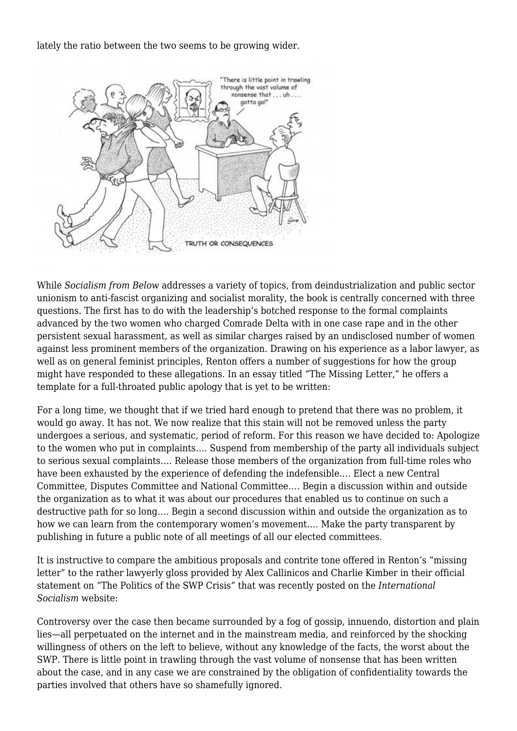lately the ratio between the two seems to be growing wider.



While *Socialism from Below* addresses a variety of topics, from deindustrialization and public sector unionism to anti-fascist organizing and socialist morality, the book is centrally concerned with three questions. The first has to do with the leadership's botched response to the formal complaints advanced by the two women who charged Comrade Delta with in one case rape and in the other persistent sexual harassment, as well as similar charges raised by an undisclosed number of women against less prominent members of the organization. Drawing on his experience as a labor lawyer, as well as on general feminist principles, Renton offers a number of suggestions for how the group might have responded to these allegations. In an essay titled "The Missing Letter," he offers a template for a full-throated public apology that is yet to be written:

For a long time, we thought that if we tried hard enough to pretend that there was no problem, it would go away. It has not. We now realize that this stain will not be removed unless the party undergoes a serious, and systematic, period of reform. For this reason we have decided to: Apologize to the women who put in complaints…. Suspend from membership of the party all individuals subject to serious sexual complaints…. Release those members of the organization from full-time roles who have been exhausted by the experience of defending the indefensible…. Elect a new Central Committee, Disputes Committee and National Committee…. Begin a discussion within and outside the organization as to what it was about our procedures that enabled us to continue on such a destructive path for so long…. Begin a second discussion within and outside the organization as to how we can learn from the contemporary women's movement…. Make the party transparent by publishing in future a public note of all meetings of all our elected committees.

It is instructive to compare the ambitious proposals and contrite tone offered in Renton's "missing letter" to the rather lawyerly gloss provided by Alex Callinicos and Charlie Kimber in their official statement on "The Politics of the SWP Crisis" that was recently posted on the *International Socialism* website:

Controversy over the case then became surrounded by a fog of gossip, innuendo, distortion and plain lies—all perpetuated on the internet and in the mainstream media, and reinforced by the shocking willingness of others on the left to believe, without any knowledge of the facts, the worst about the SWP. There is little point in trawling through the vast volume of nonsense that has been written about the case, and in any case we are constrained by the obligation of confidentiality towards the parties involved that others have so shamefully ignored.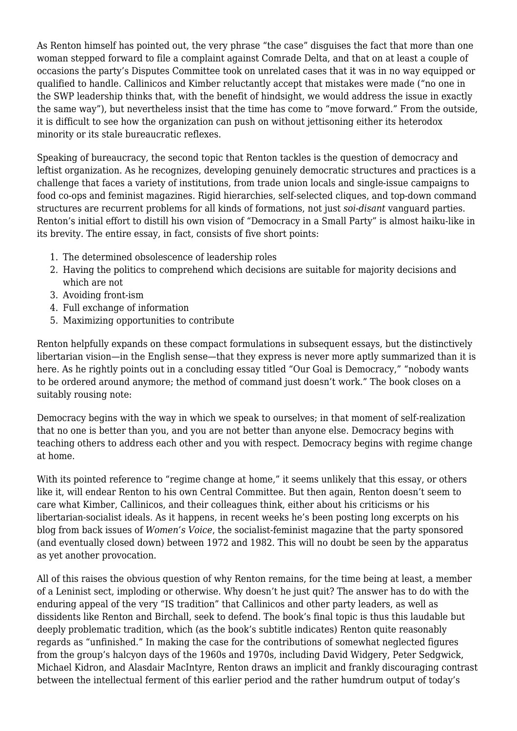As Renton himself has pointed out, the very phrase "the case" disguises the fact that more than one woman stepped forward to file a complaint against Comrade Delta, and that on at least a couple of occasions the party's Disputes Committee took on unrelated cases that it was in no way equipped or qualified to handle. Callinicos and Kimber reluctantly accept that mistakes were made ("no one in the SWP leadership thinks that, with the benefit of hindsight, we would address the issue in exactly the same way"), but nevertheless insist that the time has come to "move forward." From the outside, it is difficult to see how the organization can push on without jettisoning either its heterodox minority or its stale bureaucratic reflexes.

Speaking of bureaucracy, the second topic that Renton tackles is the question of democracy and leftist organization. As he recognizes, developing genuinely democratic structures and practices is a challenge that faces a variety of institutions, from trade union locals and single-issue campaigns to food co-ops and feminist magazines. Rigid hierarchies, self-selected cliques, and top-down command structures are recurrent problems for all kinds of formations, not just *soi-disant* vanguard parties. Renton's initial effort to distill his own vision of "Democracy in a Small Party" is almost haiku-like in its brevity. The entire essay, in fact, consists of five short points:

- 1. The determined obsolescence of leadership roles
- 2. Having the politics to comprehend which decisions are suitable for majority decisions and which are not
- 3. Avoiding front-ism
- 4. Full exchange of information
- 5. Maximizing opportunities to contribute

Renton helpfully expands on these compact formulations in subsequent essays, but the distinctively libertarian vision—in the English sense—that they express is never more aptly summarized than it is here. As he rightly points out in a concluding essay titled "Our Goal is Democracy," "nobody wants to be ordered around anymore; the method of command just doesn't work." The book closes on a suitably rousing note:

Democracy begins with the way in which we speak to ourselves; in that moment of self-realization that no one is better than you, and you are not better than anyone else. Democracy begins with teaching others to address each other and you with respect. Democracy begins with regime change at home.

With its pointed reference to "regime change at home," it seems unlikely that this essay, or others like it, will endear Renton to his own Central Committee. But then again, Renton doesn't seem to care what Kimber, Callinicos, and their colleagues think, either about his criticisms or his libertarian-socialist ideals. As it happens, in recent weeks he's been posting long excerpts on his blog from back issues of *Women's Voice*, the socialist-feminist magazine that the party sponsored (and eventually closed down) between 1972 and 1982. This will no doubt be seen by the apparatus as yet another provocation.

All of this raises the obvious question of why Renton remains, for the time being at least, a member of a Leninist sect, imploding or otherwise. Why doesn't he just quit? The answer has to do with the enduring appeal of the very "IS tradition" that Callinicos and other party leaders, as well as dissidents like Renton and Birchall, seek to defend. The book's final topic is thus this laudable but deeply problematic tradition, which (as the book's subtitle indicates) Renton quite reasonably regards as "unfinished." In making the case for the contributions of somewhat neglected figures from the group's halcyon days of the 1960s and 1970s, including David Widgery, Peter Sedgwick, Michael Kidron, and Alasdair MacIntyre, Renton draws an implicit and frankly discouraging contrast between the intellectual ferment of this earlier period and the rather humdrum output of today's